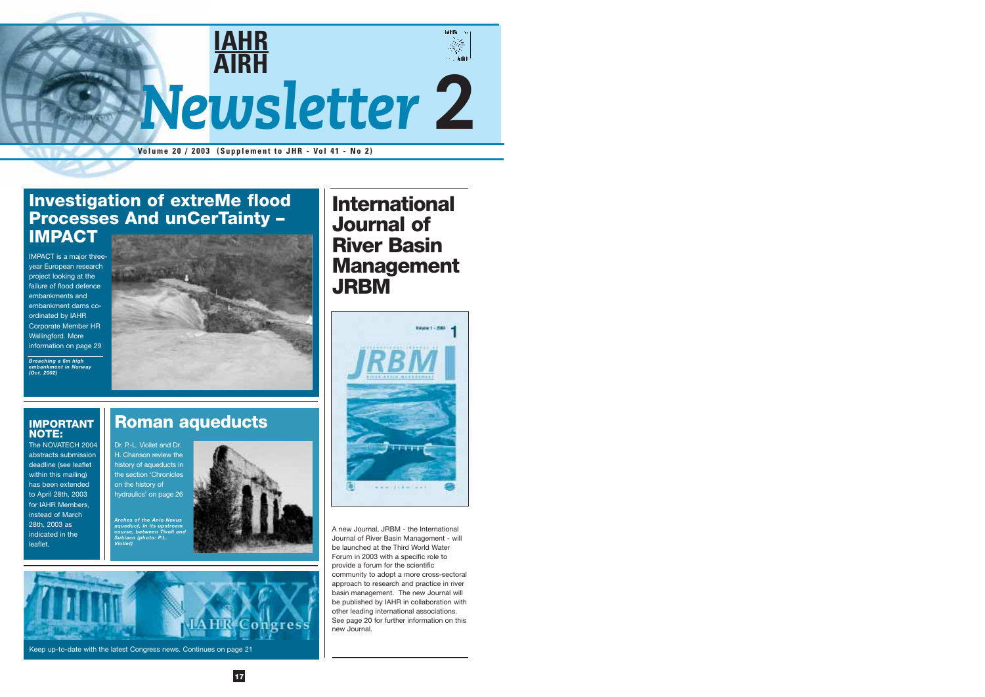

**Volume 20 / 2003 (Supplement to JHR - Vol 41 - No 2)**

**17**



### **Roman aqueducts**

Dr. P.-L. Viollet and Dr. H. Chanson review the history of aqueducts in the section 'Chronicles on the history of hydraulics' on page 26

*Arches of the Anio Novus aqueduct, in its upstream course, between Tivoli and Subiaco (photo: P.L. Viollet)*



Keep up-to-date with the latest Congress news. Continues on page 21

A new Journal, JRBM - the International Journal of River Basin Management - will be launched at the Third World Water Forum in 2003 with a specific role to provide a forum for the scientific community to adopt a more cross-sectoral approach to research and practice in river basin management. The new Journal will be published by IAHR in collaboration with other leading international associations. See page 20 for further information on this new Journal.

### **Investigation of extreMe flood Processes And unCerTainty – IMPACT**

IMPACT is a major threeyear European research project looking at the failure of flood defence embankments and embankment dams coordinated by IAHR Corporate Member HR Wallingford. More information on page 29

*Breaching a 6m high embankment in Norway (Oct. 2002)* 



### **IMPORTANT NOTE:**

The NOVATECH 2004 abstracts submission deadline (see leaflet within this mailing) has been extended to April 28th, 2003 for IAHR Members, instead of March 28th, 2003 as indicated in the leaflet.

## **International Journal of River Basin Management JRBM**

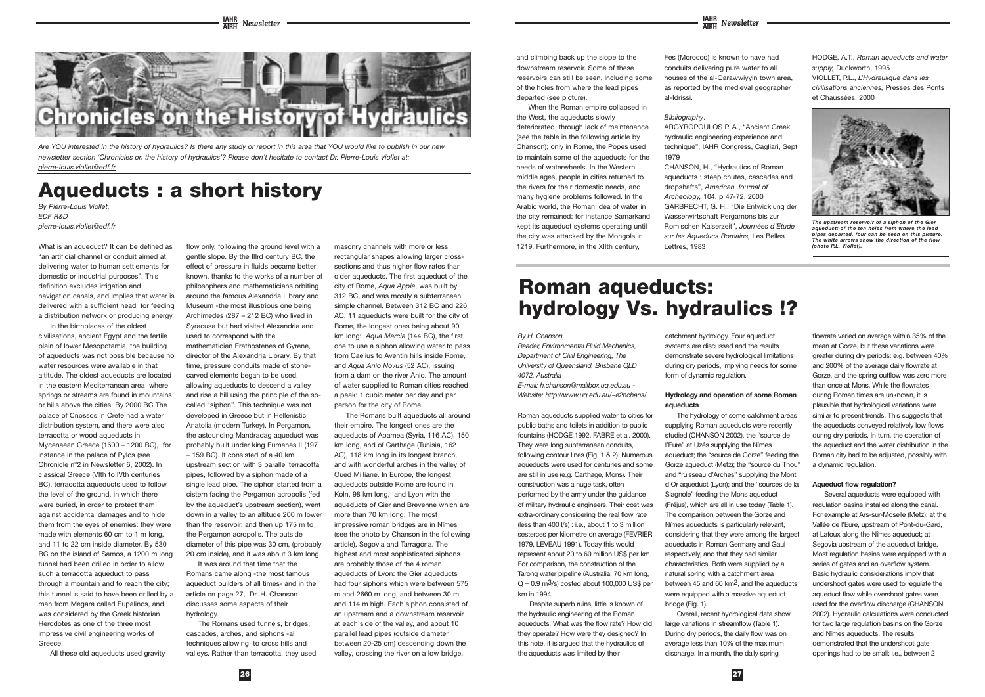

**26 27**

*Are YOU interested in the history of hydraulics? Is there any study or report in this area that YOU would like to publish in our new newsletter section 'Chronicles on the history of hydraulics'? Please don't hesitate to contact Dr. Pierre-Louis Viollet at: pierre-louis.viollet@edf.fr*

## **Aqueducts : a short history**

*By Pierre-Louis Viollet, EDF R&D pierre-louis.viollet@edf.fr*

What is an aqueduct? It can be defined as "an artificial channel or conduit aimed at delivering water to human settlements for domestic or industrial purposes". This definition excludes irrigation and navigation canals, and implies that water is delivered with a sufficient head for feeding a distribution network or producing energy.

In the birthplaces of the oldest civilisations, ancient Egypt and the fertile plain of lower Mesopotamia, the building of aqueducts was not possible because no water resources were available in that altitude. The oldest aqueducts are located in the eastern Mediterranean area where springs or streams are found in mountains or hills above the cities. By 2000 BC The palace of Cnossos in Crete had a water distribution system, and there were also terracotta or wood aqueducts in Mycenaean Greece (1600 – 1200 BC), for instance in the palace of Pylos (see Chronicle n°2 in Newsletter 6, 2002). In classical Greece (VIth to IVth centuries BC), terracotta aqueducts used to follow the level of the ground, in which there were buried, in order to protect them against accidental damages and to hide them from the eyes of enemies: they were made with elements 60 cm to 1 m long, and 11 to 22 cm inside diameter. By 530 BC on the island of Samos, a 1200 m long tunnel had been drilled in order to allow such a terracotta aqueduct to pass through a mountain and to reach the city; this tunnel is said to have been drilled by a man from Megara called Eupalinos, and was considered by the Greek historian Herodotes as one of the three most impressive civil engineering works of Greece.

All these old aqueducts used gravity

flow only, following the ground level with a

gentle slope. By the IIIrd century BC, the effect of pressure in fluids became better known, thanks to the works of a number of philosophers and mathematicians orbiting around the famous Alexandria Library and Museum -the most illustrious one being Archimedes (287 – 212 BC) who lived in Syracusa but had visited Alexandria and used to correspond with the mathematician Erathostenes of Cyrene, director of the Alexandria Library. By that time, pressure conduits made of stonecarved elements began to be used, allowing aqueducts to descend a valley and rise a hill using the principle of the socalled "siphon". This technique was not developed in Greece but in Hellenistic Anatolia (modern Turkey). In Pergamon, the astounding Mandradag aqueduct was probably built under king Eumenes II (197 – 159 BC). It consisted of a 40 km

When the Roman empire collapsed in the West, the aqueducts slowly deteriorated, through lack of maintenance (see the table in the following article by Chanson); only in Rome, the Popes used to maintain some of the aqueducts for the needs of waterwheels. In the Western middle ages, people in cities returned to the rivers for their domestic needs, and many hygiene problems followed. In the Arabic world, the Roman idea of water in the city remained: for instance Samarkand kept its aqueduct systems operating until the city was attacked by the Mongols in 1219. Furthermore, in the XIIth century,

upstream section with 3 parallel terracotta pipes, followed by a siphon made of a single lead pipe. The siphon started from a cistern facing the Pergamon acropolis (fed by the aqueduct's upstream section), went down in a valley to an altitude 200 m lower than the reservoir, and then up 175 m to the Pergamon acropolis. The outside diameter of this pipe was 30 cm, (probably 20 cm inside), and it was about 3 km long.

It was around that time that the Romans came along -the most famous aqueduct builders of all times- and in the article on page 27, Dr. H. Chanson discusses some aspects of their hydrology.

The Romans used tunnels, bridges, cascades, arches, and siphons -all techniques allowing to cross hills and valleys. Rather than terracotta, they used

masonry channels with more or less rectangular shapes allowing larger crosssections and thus higher flow rates than older aqueducts. The first aqueduct of the city of Rome, *Aqua Appia*, was built by 312 BC, and was mostly a subterranean simple channel. Between 312 BC and 226 AC, 11 aqueducts were built for the city of Rome, the longest ones being about 90 km long: *Aqua Marcia* (144 BC), the first one to use a siphon allowing water to pass from Caelius to Aventin hills inside Rome, and *Aqua Anio Novus* (52 AC), issuing from a dam on the river Anio. The amount of water supplied to Roman cities reached a peak: 1 cubic meter per day and per person for the city of Rome.

The Romans built aqueducts all around their empire. The longest ones are the aqueducts of Apamea (Syria, 116 AC), 150 km long, and of Carthage (Tunisia, 162 AC), 118 km long in its longest branch, and with wonderful arches in the valley of Oued Milliane. In Europe, the longest aqueducts outside Rome are found in Koln, 98 km long, and Lyon with the aqueducts of Gier and Brevenne which are more than 70 km long. The most impressive roman bridges are in Nîmes (see the photo by Chanson in the following article), Segovia and Tarragona. The highest and most sophisticated siphons are probably those of the 4 roman aqueducts of Lyon: the Gier aqueducts had four siphons which were between 575 m and 2660 m long, and between 30 m and 114 m high. Each siphon consisted of an upstream and a downstream reservoir at each side of the valley, and about 10 parallel lead pipes (outside diameter between 20-25 cm) descending down the valley, crossing the river on a low bridge,

and climbing back up the slope to the downstream reservoir. Some of these reservoirs can still be seen, including some of the holes from where the lead pipes departed (see picture).

> Several aqueducts were equipped with regulation basins installed along the canal. For example at Ars-sur-Moselle (Metz); at the Vallée de l'Eure, upstream of Pont-du-Gard, at Lafoux along the Nîmes aqueduct; at Segovia upstream of the aqueduct bridge. Most regulation basins were equipped with a series of gates and an overflow system. Basic hydraulic considerations imply that undershoot gates were used to regulate the aqueduct flow while overshoot gates were used for the overflow discharge (CHANSON 2002). Hydraulic calculations were conducted for two large regulation basins on the Gorze and Nîmes aqueducts. The results demonstrated that the undershoot gate openings had to be small: i.e., between 2

Fes (Morocco) is known to have had conduits delivering pure water to all houses of the al-Qarawwiyyin town area, as reported by the medieval geographer al-Idrissi.

*Bibliography*.

ARGYROPOULOS P. A., "Ancient Greek hydraulic engineering experience and technique", IAHR Congress, Cagliari, Sept 1979

CHANSON, H., "Hydraulics of Roman aqueducts : steep chutes, cascades and dropshafts", *American Journal of Archeology,* 104, p 47-72, 2000 GARBRECHT, G. H., "Die Entwicklung der Wasserwirtschaft Pergamons bis zur Romischen Kaiserzeit", *Journées d'Etude sur les Aqueducs Romains,* Les Belles Lettres, 1983

HODGE, A.T., *Roman aqueducts and water supply,* Duckworth, 1995 VIOLLET, P.L., *L'Hydraulique dans les civilisations anciennes,* Presses des Ponts et Chaussées, 2000



*The upstream reservoir of a siphon of the Gier aqueduct: of the ten holes from where the lead pipes departed, four can be seen on this picture. The white arrows show the direction of the flow (photo P.L. Viollet).*

#### *By H. Chanson,*

*Reader, Environmental Fluid Mechanics, Department of Civil Engineering, The University of Queensland, Brisbane QLD 4072, Australia*

*E-mail: h.chanson@mailbox.uq.edu.au - Website: http://www.uq.edu.au/~e2hchans/*

Roman aqueducts supplied water to cities for public baths and toilets in addition to public fountains (HODGE 1992, FABRE et al. 2000). They were long subterranean conduits, following contour lines (Fig. 1 & 2). Numerous aqueducts were used for centuries and some are still in use (e.g. Carthage, Mons). Their construction was a huge task, often performed by the army under the guidance of military hydraulic engineers. Their cost was extra-ordinary considering the real flow rate (less than 400 l/s) : i.e., about 1 to 3 million sesterces per kilometre on average (FEVRIER 1979, LEVEAU 1991). Today this would represent about 20 to 60 million US\$ per km. For comparison, the construction of the Tarong water pipeline (Australia, 70 km long,  $Q = 0.9$  m<sup>3</sup>/s) costed about 100,000 US\$ per km in 1994.

Despite superb ruins, little is known of the hydraulic engineering of the Roman aqueducts. What was the flow rate? How did they operate? How were they designed? In this note, it is argued that the hydraulics of the aqueducts was limited by their

catchment hydrology. Four aqueduct systems are discussed and the results demonstrate severe hydrological limitations during dry periods, implying needs for some form of dynamic regulation.

#### **Hydrology and operation of some Roman aqueducts**

The hydrology of some catchment areas supplying Roman aqueducts were recently studied (CHANSON 2002), the "source de l'Eure" at Uzés supplying the Nîmes aqueduct; the "source de Gorze" feeding the Gorze aqueduct (Metz); the "source du Thou" and "ruisseau d'Arches" supplying the Mont d'Or aqueduct (Lyon); and the "sources de la Siagnole" feeding the Mons aqueduct (Fréjus), which are all in use today (Table 1). The comparison between the Gorze and Nîmes aqueducts is particularly relevant, considering that they were among the largest aqueducts in Roman Germany and Gaul respectively, and that they had similar characteristics. Both were supplied by a natural spring with a catchment area between 45 and 60 km2, and the aqueducts were equipped with a massive aqueduct bridge (Fig. 1).

Overall, recent hydrological data show large variations in streamflow (Table 1). During dry periods, the daily flow was on average less than 10% of the maximum discharge. In a month, the daily spring

flowrate varied on average within 35% of the mean at Gorze, but these variations were greater during dry periods: e.g. between 40% and 200% of the average daily flowrate at Gorze, and the spring outflow was zero more than once at Mons. While the flowrates during Roman times are unknown, it is plausible that hydrological variations were similar to present trends. This suggests that the aqueducts conveyed relatively low flows during dry periods. In turn, the operation of the aqueduct and the water distribution in the Roman city had to be adjusted, possibly with a dynamic regulation.

#### **Aqueduct flow regulation?**

# **Roman aqueducts: hydrology Vs. hydraulics !?**